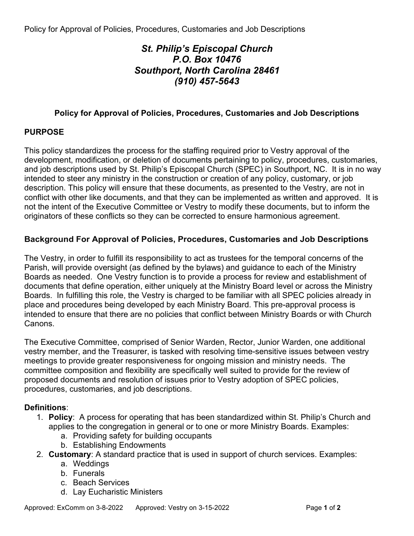# *St. Philip's Episcopal Church P.O. Box 10476 Southport, North Carolina 28461 (910) 457-5643*

## **Policy for Approval of Policies, Procedures, Customaries and Job Descriptions**

## **PURPOSE**

This policy standardizes the process for the staffing required prior to Vestry approval of the development, modification, or deletion of documents pertaining to policy, procedures, customaries, and job descriptions used by St. Philip's Episcopal Church (SPEC) in Southport, NC. It is in no way intended to steer any ministry in the construction or creation of any policy, customary, or job description. This policy will ensure that these documents, as presented to the Vestry, are not in conflict with other like documents, and that they can be implemented as written and approved. It is not the intent of the Executive Committee or Vestry to modify these documents, but to inform the originators of these conflicts so they can be corrected to ensure harmonious agreement.

## **Background For Approval of Policies, Procedures, Customaries and Job Descriptions**

The Vestry, in order to fulfill its responsibility to act as trustees for the temporal concerns of the Parish, will provide oversight (as defined by the bylaws) and guidance to each of the Ministry Boards as needed. One Vestry function is to provide a process for review and establishment of documents that define operation, either uniquely at the Ministry Board level or across the Ministry Boards. In fulfilling this role, the Vestry is charged to be familiar with all SPEC policies already in place and procedures being developed by each Ministry Board. This pre-approval process is intended to ensure that there are no policies that conflict between Ministry Boards or with Church Canons.

The Executive Committee, comprised of Senior Warden, Rector, Junior Warden, one additional vestry member, and the Treasurer, is tasked with resolving time-sensitive issues between vestry meetings to provide greater responsiveness for ongoing mission and ministry needs. The committee composition and flexibility are specifically well suited to provide for the review of proposed documents and resolution of issues prior to Vestry adoption of SPEC policies, procedures, customaries, and job descriptions.

## **Definitions**:

- 1. **Policy**: A process for operating that has been standardized within St. Philip's Church and applies to the congregation in general or to one or more Ministry Boards. Examples:
	- a. Providing safety for building occupants
	- b. Establishing Endowments
- 2. **Customary**: A standard practice that is used in support of church services. Examples:
	- a. Weddings
	- b. Funerals
	- c. Beach Services
	- d. Lay Eucharistic Ministers